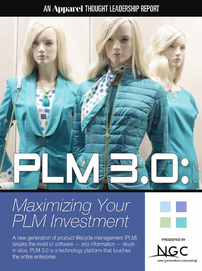## AN Apparel THOUGHT LEADERSHIP REPORT



# Maximizing Your<br>PLM Investment

A new generation of product lifecycle management (PLM) breaks the mold of software  $-$  and information  $-$  stuck in silos. PLM 3.0 is a technology platform that touches the entire enterprise.



# PRESENTED BY new generation computing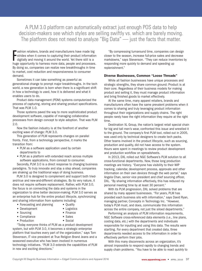#### A PLM 3.0 platform can automatically extract just enough POS data to help decision-makers see which styles are selling swiftly vs. which are barely moving. The platform does not need to analyze "Big Data" — just the facts that matter.

F ashion retailers, brands and manufacturers have made big strides when it comes to capturing their product information digitally and moving it around the world. Yet there still is a huge opportunity to harness more data, people and processes. By doing so, companies can realize new breakthroughs in time to market, cost reduction and responsiveness to consumer demand.

Sometimes it can take something as powerful as generational change to prompt major breakthroughs. In the tech world, a new generation is born when there is a significant shift in how a technology is used, how it is delivered and what it enables users to do.

Product data management (PDM) systems computerized the process of capturing, storing and sharing product specifications. That was PLM 1.0.

Those systems paved the way to more sophisticated product development software, capable of managing collaborative processes from design concept to style adoption. That was PLM 2.0.

Now the fashion industry is at the forefront of another exciting wave of change: PLM 3.0.

This generation of PLM represents changes on parallel fronts. First, from a technology perspective, it marks the transition from:

- PLM as a software application used by certain departments to
- PLM as a platform with extended reach across multiple software applications, from concept to consumer.

Secondly, PLM 3.0 is a direct response to changing business paradigms. To truly innovate and stay a step ahead, companies are shaking up the traditional ways of doing business.

PLM 3.0 is designed to complement and support both triedand-true and new-and-different strategies. By its very nature, it does not require software replacement. Rather, with PLM 3.0, the focus is on connecting the data and systems in the organization to drive better decision-making. PLM 3.0 serves as an enterprise hub for the entire product lifecycle, synchronizing and sharing information from systems including:

- Forecasting and planning Quality
- Development Logistics
- 
- Sourcing Finance
- Compliance Sales
- Production Social

"Today everyone thinks of PLM as a product development system, but with PLM 3.0, it becomes a strategic enterprise platform that touches every part of the organization," says Tom Stevenson, IT vice president at True Religion Brand Jeans and a seasoned executive who has been involved in numerous technology initiatives. "PLM 3.0 extends the capabilities of PLM in new and exciting directions."

"By compressing turnaround time, companies can design closer to the season, increase full-price sales and decrease markdowns," says Stevenson. "They can reduce inventories by responding more quickly to demand and speeding up replenishment."

#### Diverse Businesses, Common "Loose Threads"

While all fashion businesses have unique processes and strategic strengths, they share common ground: Product is at their core. Regardless of their business models for making product and selling it, they must manage product information and bring finished goods to market effectively.

At the same time, many apparel retailers, brands and manufacturers often have the same prevalent problems when it comes to sharing and truly leveraging product information throughout their organizations and supply chains. The right people rarely have the right information they require at the right time.

Destination XL Group, the nation's largest retail special chain for big and tall men's wear, confronted this issue and wrestled it to the ground. The company's first PLM tool, rolled out in 2005, was used only by technical designers to create tech packs. Other teams involved in the product lifecycle, such as sourcing, production and quality, did not have access to the system. Hours were spent in meetings to review product development and production workflow on spreadsheets.

In 2013, DXL rolled out NGC Software's PLM solution to all cross-functional departments. Now, those long production meetings are history. "Everyone has visibility to their WIP tracking, calendar, development process, approvals and other information on their own devices through the web portal," says Angela Chan, senior vice president and chief sourcing officer, DXL. "By sharing information effectively, this has reduced my personal meeting time by at least 30 percent."

With its PLM progression, DXL solved problems that are shared by many apparel businesses. "For years, PLM has provided each business silo with information," says David Ryan, managing partner, Concepts in Technology Inc. "However, today's PLM must, and does, communicate this information across the entire company, not just the siloed departments."

Performing an analysis of PLM information requirements, NGC Software cross-referenced data elements (i.e., line plans, costing data, etc.) with the departments and individuals responsible for inputting and using this data. The results were startling. For every department that created data, three departments needed access to the information in order to effectively perform their jobs.

With this many disconnects across an organization, it's almost impossible to respond rapidly to changing trends and supply chain problems. "You have to be able to react quickly to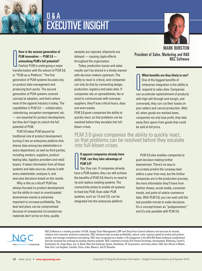

## Q & A EXECUTIVE INSIGHT

**FLM innovation — PLM 3.0 —<br>PLM innovation — PLM 3.0 —<br>unleashing PLM's full potential?**<br>Fashion PLM is undergoing a major<br>transformation with the advent of PLM 3.0, **How is the newest generation of PLM innovation — PLM 3.0 unleashing PLM's full potential?** Fashion PLM is undergoing a major or "PLM-as-a-Platform." The first generation of PLM systems focused only on product data management and producing tech packs. The second generation of PLM systems covered concept to adoption, and that's where most of the apparel industry is today. The capabilities in PLM 2.0 — collaboration, calendaring, exception management, etc. — are essential for product development, but they don't begin to unlock the full potential of PLM.

PLM 3.0 takes PLM beyond its traditional role of product development, turning it into an enterprise platform that shares data among key stakeholders in every department, as well as third parties, including vendors, suppliers, product testing labs, logistics providers and retail buyers. It takes information from all these systems and data sources, shares it with every stakeholder, analyzes it, and executes decisions based on the results.

Why is this so critical? PLM has always focused on product development, but the ability to react to unanticipated downstream events is extremely important to increase profitability. The best-laid plans can be compromised because of unexpected circumstances: materials don't arrive on time, quality

samples are rejected, shipments are delayed — causing ripple effects throughout the organization.

Today, production issues and sales results can't be shared in a timely manner with decision-makers upstream. The ability to react is critical, and companies can only do that by connecting design, production, logistics and sales data. If companies rely on spreadsheets, fax or email to communicate with overseas suppliers, they'll lose critical hours, days and even weeks.

PLM 3.0 gives companies the ability to quickly react, so that problems can be resolved before they escalate into fullblown crises.

#### PLM 3.0 gives companies the ability to quickly react, so that problems can be resolved before they escalate into full-blown crises.

#### **CEPT AT A FEAT ST AT A FIGHT SYSTEM STATE STATE STATE STATE STATE STATE STATE STATE STATE STATE STATE STATE STATE STATE STATE STATE STATE STATE STATE STATE STATE STATE STATE STATE STATE STATE STATE STATE STATE STATE STATE If apparel companies already have PLM, can they take advantage of PLM 3.0?**

Yes, they can. If companies already the benefits of PLM 3.0; there's no need to rip and replace existing systems. The connectivity exists to enable all systems to feed into PLM. Even older PLM systems, such as 1.0 and 2.0, can be integrated into the enterprise platform.

PLM 3.0 also enables companies to push decision-making further downstream. There's no way to accurately predict the runaway best sellers a year from now, but the further companies are in the production process, the more information they'll have from fashion shows, social media, consumer trends, and point-of-sale/e-commerce data. With PLM 3.0, you can wait until the last possible minute to make decisions. It's a concept known as "postponement," and it's only possible with PLM 3.0.



NGC Software is a leading provider of PLM, Supply Chain Management, ERP and Shop Floor Control software and services for brands, retailers and consumer products companies. NGC solutions help increase profitability, reduce costs, improve speed to market and product quality, and manage compliance and testing. NGC was recognized as a leader in 34 categories in the 2015 RIS News Software Leaderboard and has received top rankings by leading industry analysts. NGC customers include A|X Armani Exchange, Aeropostale, Billabong, Carter's, Destination XL, Hugo Boss, Jos. A. Bank, Marchon Eyewear, Spanx, Swatfame, VF Corporation, and many others. NGC has offices in Miami, New York, Los Angeles, Canada, China, India, Mexico, and El Salvador.

#### MARK BURSTEIN

President of Sales, Marketing and R&D NGC Software

What benefits are they likely to see?<br>
One of the biggest benefits of<br>
enterprise integration is the ability to<br>
respond to sales data. Companies<br>
can accelerate replenishment of products **What benefits are they likely to see?** One of the biggest benefits of enterprise integration is the ability to respond to sales data. Companies with high sell-through and margin, and conversely, they can cut their losses on poor sellers and cancel production. After all, when goods are marked down, companies not only lose profit, they take away floor space from goods that could be sold at full price.

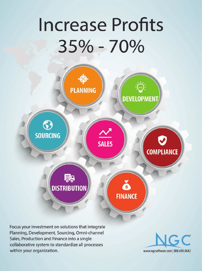# **Increase Profits** 35% - 70%



Focus your investment on solutions that integrate Planning, Development, Sourcing, Omni-channel Sales, Production and Finance into a single collaborative system to standardize all processes within your organization.